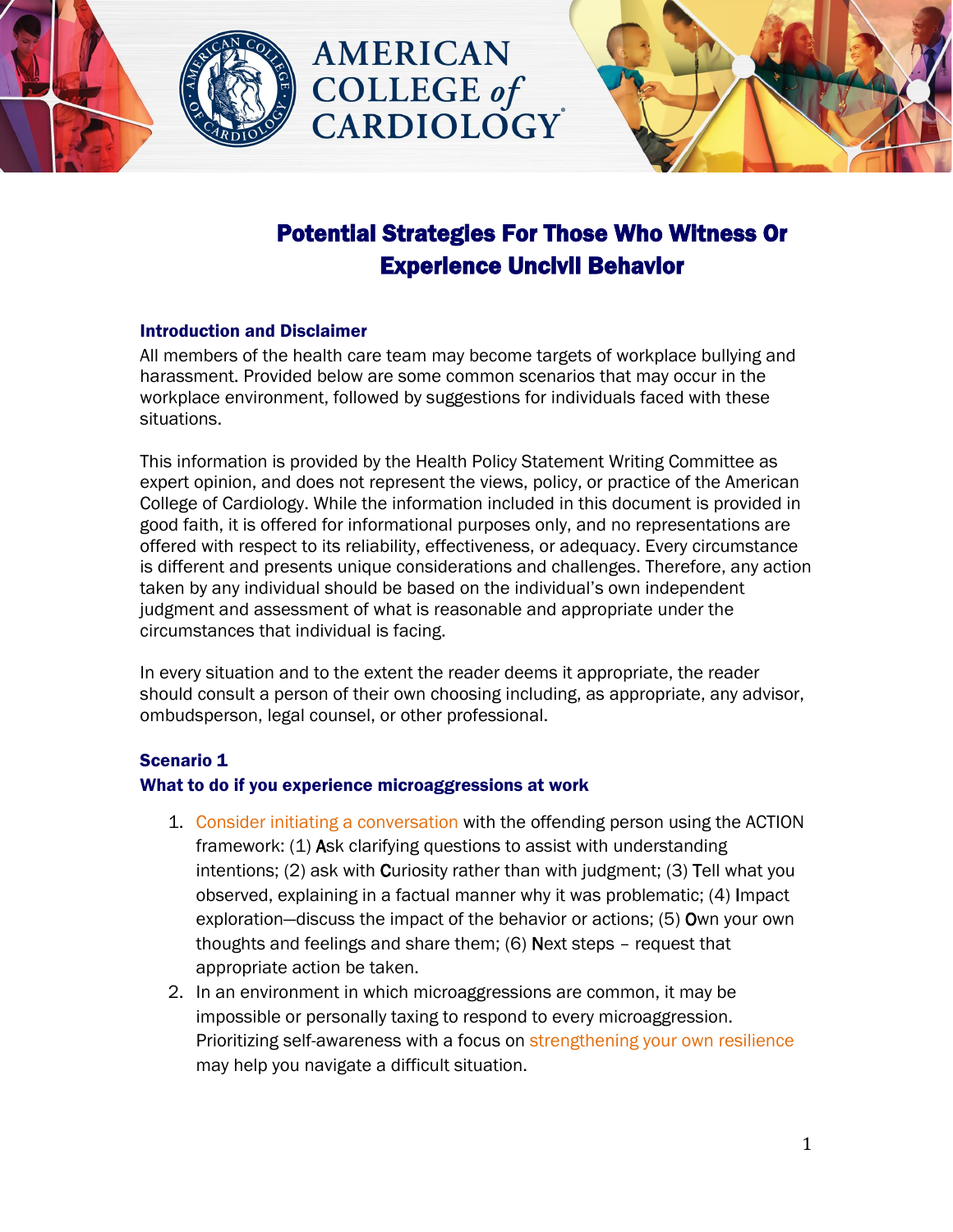



# Potential Strategies For Those Who Witness Or Experience Uncivil Behavior

#### Introduction and Disclaimer

All members of the health care team may become targets of workplace bullying and harassment. Provided below are some common scenarios that may occur in the workplace environment, followed by suggestions for individuals faced with these situations.

**AMERICAN** 

**COLLEGE** of

This information is provided by the Health Policy Statement Writing Committee as expert opinion, and does not represent the views, policy, or practice of the American College of Cardiology. While the information included in this document is provided in good faith, it is offered for informational purposes only, and no representations are offered with respect to its reliability, effectiveness, or adequacy. Every circumstance is different and presents unique considerations and challenges. Therefore, any action taken by any individual should be based on the individual's own independent judgment and assessment of what is reasonable and appropriate under the circumstances that individual is facing.

In every situation and to the extent the reader deems it appropriate, the reader should consult a person of their own choosing including, as appropriate, any advisor, ombudsperson, legal counsel, or other professional.

#### Scenario 1

#### What to do if you experience microaggressions at work

- 1. Consider initiating a conversation with the offending person using the ACTION framework: (1) Ask clarifying questions to assist with understanding intentions; (2) ask with Curiosity rather than with judgment; (3) Tell what you observed, explaining in a factual manner why it was problematic; (4) Impact exploration—discuss the impact of the behavior or actions; (5) Own your own thoughts and feelings and share them; (6) Next steps – request that appropriate action be taken.
- 2. In an environment in which microaggressions are common, it may be impossible or personally taxing to respond to every microaggression. Prioritizing self-awareness with a focus on strengthening your own resilience may help you navigate a difficult situation.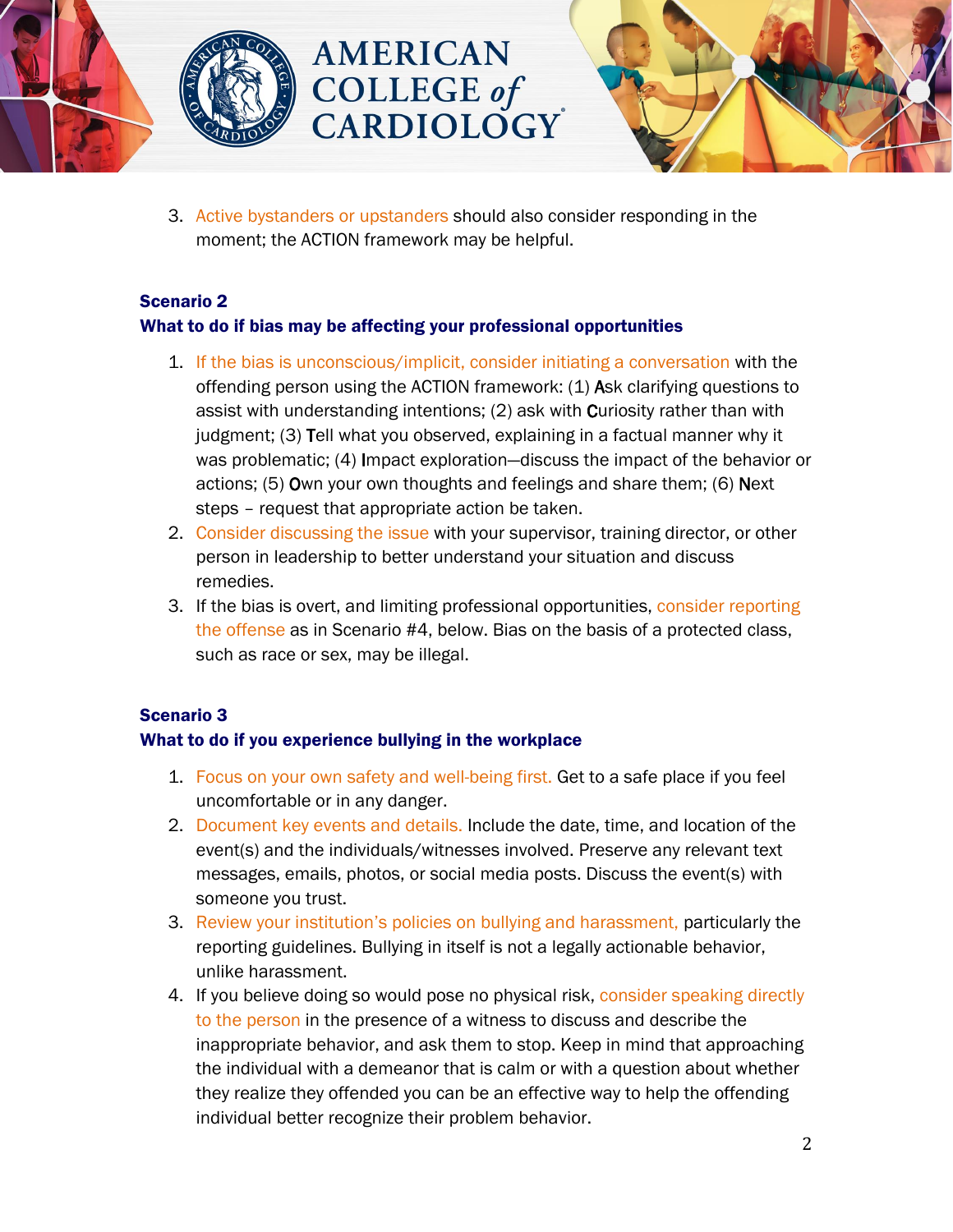



3. Active bystanders or upstanders should also consider responding in the moment; the ACTION framework may be helpful.

### Scenario 2

### What to do if bias may be affecting your professional opportunities

**AMERICAN** 

COLLEGE of<br>CARDIOLOGY

- 1. If the bias is unconscious/implicit, consider initiating a conversation with the offending person using the ACTION framework: (1) Ask clarifying questions to assist with understanding intentions; (2) ask with Curiosity rather than with judgment; (3) Tell what you observed, explaining in a factual manner why it was problematic; (4) Impact exploration—discuss the impact of the behavior or actions; (5) Own your own thoughts and feelings and share them; (6) Next steps – request that appropriate action be taken.
- 2. Consider discussing the issue with your supervisor, training director, or other person in leadership to better understand your situation and discuss remedies.
- 3. If the bias is overt, and limiting professional opportunities, consider reporting the offense as in Scenario #4, below. Bias on the basis of a protected class, such as race or sex, may be illegal.

# Scenario 3

# What to do if you experience bullying in the workplace

- 1. Focus on your own safety and well-being first. Get to a safe place if you feel uncomfortable or in any danger.
- 2. Document key events and details. Include the date, time, and location of the event(s) and the individuals/witnesses involved. Preserve any relevant text messages, emails, photos, or social media posts. Discuss the event(s) with someone you trust.
- 3. Review your institution's policies on bullying and harassment, particularly the reporting guidelines. Bullying in itself is not a legally actionable behavior, unlike harassment.
- 4. If you believe doing so would pose no physical risk, consider speaking directly to the person in the presence of a witness to discuss and describe the inappropriate behavior, and ask them to stop. Keep in mind that approaching the individual with a demeanor that is calm or with a question about whether they realize they offended you can be an effective way to help the offending individual better recognize their problem behavior.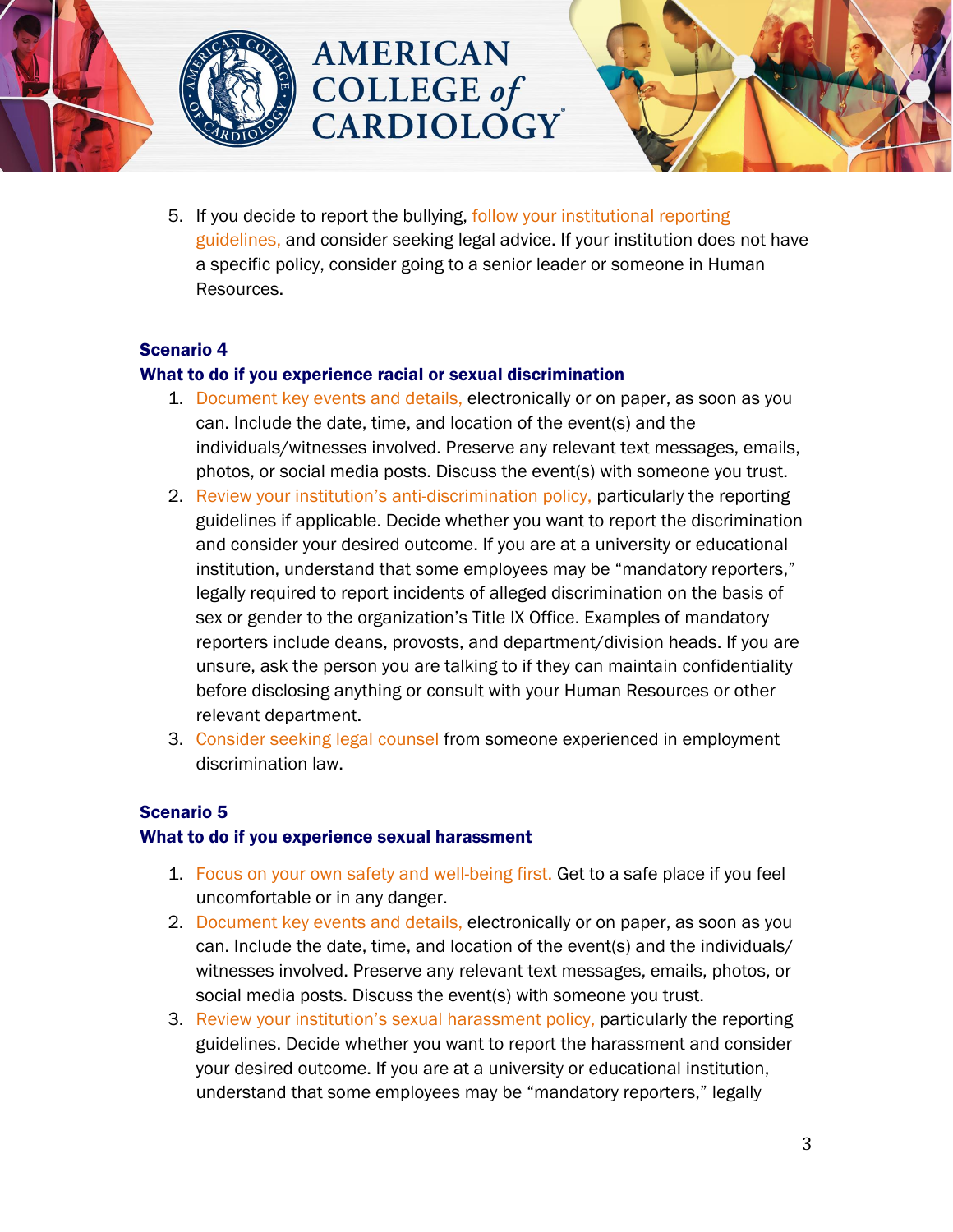



5. If you decide to report the bullying, follow your institutional reporting guidelines, and consider seeking legal advice. If your institution does not have a specific policy, consider going to a senior leader or someone in Human Resources.

#### Scenario 4

#### What to do if you experience racial or sexual discrimination

**AMERICAN** 

- 1. Document key events and details, electronically or on paper, as soon as you can. Include the date, time, and location of the event(s) and the individuals/witnesses involved. Preserve any relevant text messages, emails, photos, or social media posts. Discuss the event(s) with someone you trust.
- 2. Review your institution's anti-discrimination policy, particularly the reporting guidelines if applicable. Decide whether you want to report the discrimination and consider your desired outcome. If you are at a university or educational institution, understand that some employees may be "mandatory reporters," legally required to report incidents of alleged discrimination on the basis of sex or gender to the organization's Title IX Office. Examples of mandatory reporters include deans, provosts, and department/division heads. If you are unsure, ask the person you are talking to if they can maintain confidentiality before disclosing anything or consult with your Human Resources or other relevant department.
- 3. Consider seeking legal counsel from someone experienced in employment discrimination law.

#### Scenario 5

#### What to do if you experience sexual harassment

- 1. Focus on your own safety and well-being first. Get to a safe place if you feel uncomfortable or in any danger.
- 2. Document key events and details, electronically or on paper, as soon as you can. Include the date, time, and location of the event(s) and the individuals/ witnesses involved. Preserve any relevant text messages, emails, photos, or social media posts. Discuss the event(s) with someone you trust.
- 3. Review your institution's sexual harassment policy, particularly the reporting guidelines. Decide whether you want to report the harassment and consider your desired outcome. If you are at a university or educational institution, understand that some employees may be "mandatory reporters," legally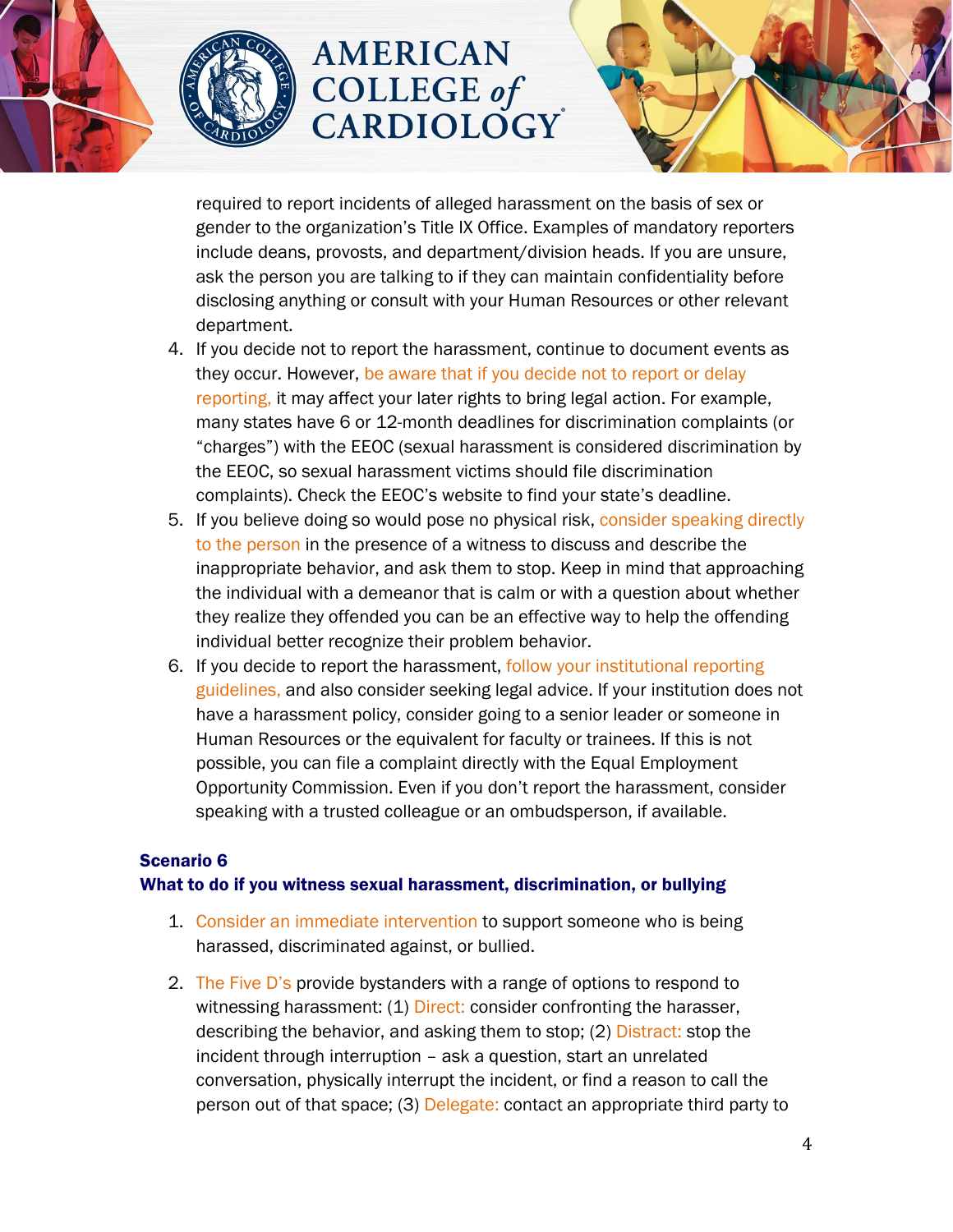

# **AMERICAN COLLEGE** of **CARDIOLOGY**



required to report incidents of alleged harassment on the basis of sex or gender to the organization's Title IX Office. Examples of mandatory reporters include deans, provosts, and department/division heads. If you are unsure, ask the person you are talking to if they can maintain confidentiality before disclosing anything or consult with your Human Resources or other relevant department.

- 4. If you decide not to report the harassment, continue to document events as they occur. However, be aware that if you decide not to report or delay reporting, it may affect your later rights to bring legal action. For example, many states have 6 or 12-month deadlines for discrimination complaints (or "charges") with the EEOC (sexual harassment is considered discrimination by the EEOC, so sexual harassment victims should file discrimination complaints). Check the EEOC's website to find your state's deadline.
- 5. If you believe doing so would pose no physical risk, consider speaking directly to the person in the presence of a witness to discuss and describe the inappropriate behavior, and ask them to stop. Keep in mind that approaching the individual with a demeanor that is calm or with a question about whether they realize they offended you can be an effective way to help the offending individual better recognize their problem behavior.
- 6. If you decide to report the harassment, follow your institutional reporting guidelines, and also consider seeking legal advice. If your institution does not have a harassment policy, consider going to a senior leader or someone in Human Resources or the equivalent for faculty or trainees. If this is not possible, you can file a complaint directly with the Equal Employment Opportunity Commission. Even if you don't report the harassment, consider speaking with a trusted colleague or an ombudsperson, if available.

# Scenario 6

#### What to do if you witness sexual harassment, discrimination, or bullying

- 1. Consider an immediate intervention to support someone who is being harassed, discriminated against, or bullied.
- 2. The Five D's provide bystanders with a range of options to respond to witnessing harassment: (1) Direct: consider confronting the harasser, describing the behavior, and asking them to stop; (2) Distract: stop the incident through interruption – ask a question, start an unrelated conversation, physically interrupt the incident, or find a reason to call the person out of that space; (3) Delegate: contact an appropriate third party to